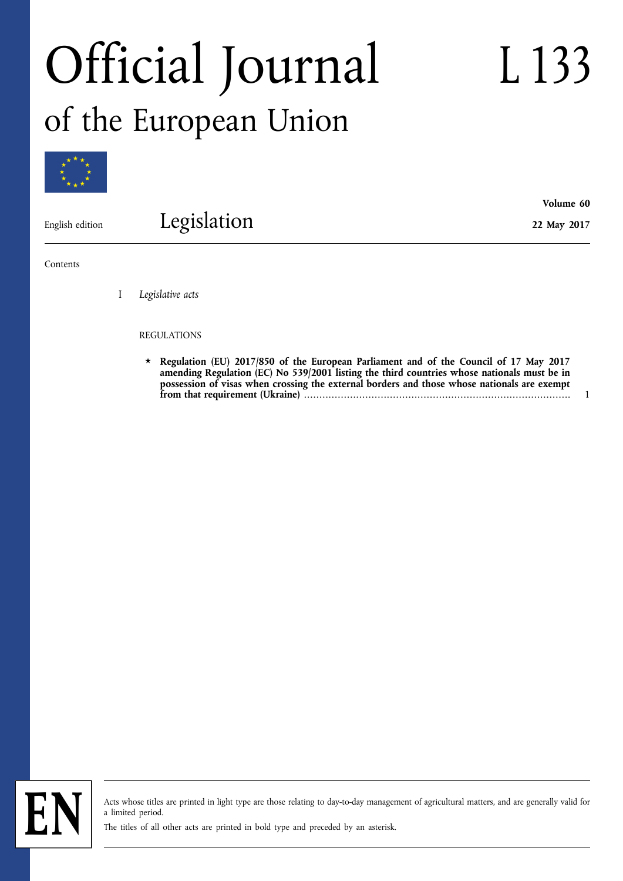# Official Journal of the European Union

L 133

**Volume 60** 

**22 May 2017** 



English edition

Legislation

Contents

I *Legislative acts* 

### REGULATIONS

Regulation (EU) 2017/850 of the European Parliament and of the Council of 17 May 2017 **[amending Regulation \(EC\) No 539/2001 listing the third countries whose nationals must be in](#page-2-0)  [possession of visas when crossing the external borders and those whose nationals are exempt](#page-2-0)  [from that requirement \(Ukraine\)](#page-2-0)** ....................................................................................... 1



Acts whose titles are printed in light type are those relating to day-to-day management of agricultural matters, and are generally valid for a limited period.

The titles of all other acts are printed in bold type and preceded by an asterisk.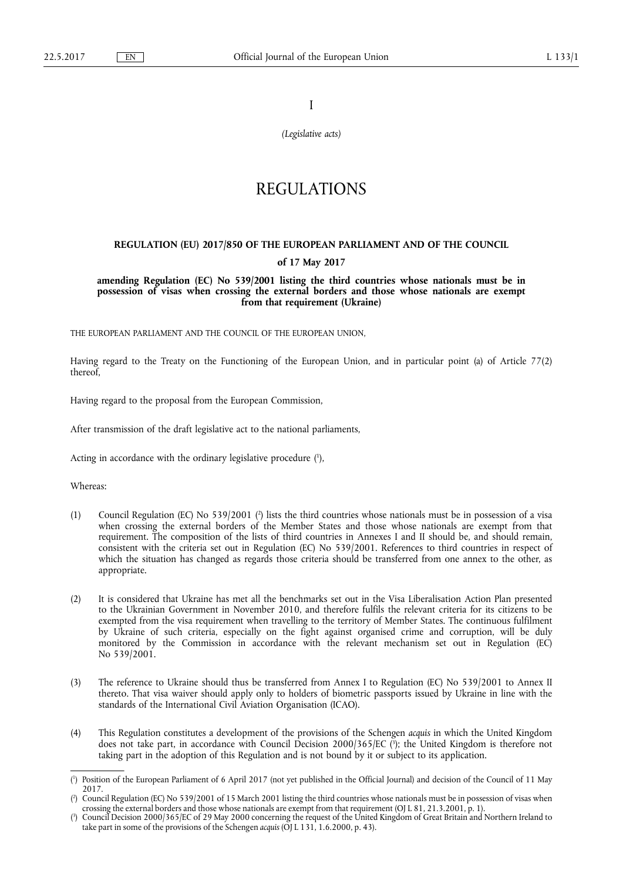I

*(Legislative acts)* 

## REGULATIONS

#### <span id="page-2-0"></span>**REGULATION (EU) 2017/850 OF THE EUROPEAN PARLIAMENT AND OF THE COUNCIL**

#### **of 17 May 2017**

**amending Regulation (EC) No 539/2001 listing the third countries whose nationals must be in possession of visas when crossing the external borders and those whose nationals are exempt from that requirement (Ukraine)** 

THE EUROPEAN PARLIAMENT AND THE COUNCIL OF THE EUROPEAN UNION,

Having regard to the Treaty on the Functioning of the European Union, and in particular point (a) of Article 77(2) thereof,

Having regard to the proposal from the European Commission,

After transmission of the draft legislative act to the national parliaments,

Acting in accordance with the ordinary legislative procedure ( 1 ),

Whereas:

- (1) Council Regulation (EC) No 539/2001 ( 2 ) lists the third countries whose nationals must be in possession of a visa when crossing the external borders of the Member States and those whose nationals are exempt from that requirement. The composition of the lists of third countries in Annexes I and II should be, and should remain, consistent with the criteria set out in Regulation (EC) No 539/2001. References to third countries in respect of which the situation has changed as regards those criteria should be transferred from one annex to the other, as appropriate.
- (2) It is considered that Ukraine has met all the benchmarks set out in the Visa Liberalisation Action Plan presented to the Ukrainian Government in November 2010, and therefore fulfils the relevant criteria for its citizens to be exempted from the visa requirement when travelling to the territory of Member States. The continuous fulfilment by Ukraine of such criteria, especially on the fight against organised crime and corruption, will be duly monitored by the Commission in accordance with the relevant mechanism set out in Regulation (EC) No 539/2001.
- (3) The reference to Ukraine should thus be transferred from Annex I to Regulation (EC) No 539/2001 to Annex II thereto. That visa waiver should apply only to holders of biometric passports issued by Ukraine in line with the standards of the International Civil Aviation Organisation (ICAO).
- (4) This Regulation constitutes a development of the provisions of the Schengen *acquis* in which the United Kingdom does not take part, in accordance with Council Decision 2000/365/EC ( 3 ); the United Kingdom is therefore not taking part in the adoption of this Regulation and is not bound by it or subject to its application.

<sup>(</sup> 1 ) Position of the European Parliament of 6 April 2017 (not yet published in the Official Journal) and decision of the Council of 11 May 2017.

<sup>(</sup> 2 ) Council Regulation (EC) No 539/2001 of 15 March 2001 listing the third countries whose nationals must be in possession of visas when crossing the external borders and those whose nationals are exempt from that requirement (OJ L 81, 21.3.2001, p. 1).

<sup>(</sup> 3 ) Council Decision 2000/365/EC of 29 May 2000 concerning the request of the United Kingdom of Great Britain and Northern Ireland to take part in some of the provisions of the Schengen *acquis* (OJ L 131, 1.6.2000, p. 43).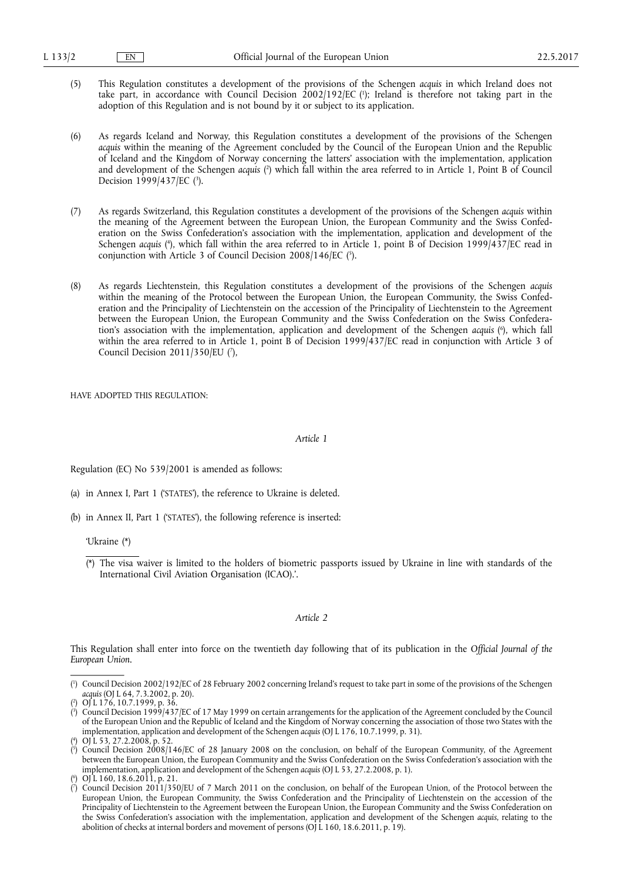- (5) This Regulation constitutes a development of the provisions of the Schengen *acquis* in which Ireland does not take part, in accordance with Council Decision 2002/192/EC ( 1 ); Ireland is therefore not taking part in the adoption of this Regulation and is not bound by it or subject to its application.
- (6) As regards Iceland and Norway, this Regulation constitutes a development of the provisions of the Schengen *acquis* within the meaning of the Agreement concluded by the Council of the European Union and the Republic of Iceland and the Kingdom of Norway concerning the latters' association with the implementation, application and development of the Schengen *acquis* ( 2 ) which fall within the area referred to in Article 1, Point B of Council Decision 1999/437/EC (3).
- (7) As regards Switzerland, this Regulation constitutes a development of the provisions of the Schengen *acquis* within the meaning of the Agreement between the European Union, the European Community and the Swiss Confederation on the Swiss Confederation's association with the implementation, application and development of the Schengen *acquis* ( 4 ), which fall within the area referred to in Article 1, point B of Decision 1999/437/EC read in conjunction with Article 3 of Council Decision 2008/146/EC ( 5 ).
- (8) As regards Liechtenstein, this Regulation constitutes a development of the provisions of the Schengen *acquis*  within the meaning of the Protocol between the European Union, the European Community, the Swiss Confederation and the Principality of Liechtenstein on the accession of the Principality of Liechtenstein to the Agreement between the European Union, the European Community and the Swiss Confederation on the Swiss Confederation's association with the implementation, application and development of the Schengen *acquis* ( 6 ), which fall within the area referred to in Article 1, point B of Decision 1999/437/EC read in conjunction with Article 3 of Council Decision  $2011/350$ /EU (7),

HAVE ADOPTED THIS REGULATION:

*Article 1* 

Regulation (EC) No 539/2001 is amended as follows:

- (a) in Annex I, Part 1 ('STATES'), the reference to Ukraine is deleted.
- (b) in Annex II, Part 1 ('STATES'), the following reference is inserted:

'Ukraine (\*)

(\*) The visa waiver is limited to the holders of biometric passports issued by Ukraine in line with standards of the International Civil Aviation Organisation (ICAO).'.

#### *Article 2*

This Regulation shall enter into force on the twentieth day following that of its publication in the *Official Journal of the European Union*.

<sup>(</sup> 1 ) Council Decision 2002/192/EC of 28 February 2002 concerning Ireland's request to take part in some of the provisions of the Schengen *acquis* (OJ L 64, 7.3.2002, p. 20).

<sup>(</sup> 2 ) OJ L 176, 10.7.1999, p. 36.

<sup>(</sup> 3 ) Council Decision 1999/437/EC of 17 May 1999 on certain arrangements for the application of the Agreement concluded by the Council of the European Union and the Republic of Iceland and the Kingdom of Norway concerning the association of those two States with the implementation, application and development of the Schengen *acquis* (OJ L 176, 10.7.1999, p. 31).

<sup>(</sup> 4 ) OJ L 53, 27.2.2008, p. 52.

<sup>(</sup> 5 ) Council Decision 2008/146/EC of 28 January 2008 on the conclusion, on behalf of the European Community, of the Agreement between the European Union, the European Community and the Swiss Confederation on the Swiss Confederation's association with the implementation, application and development of the Schengen *acquis* (OJ L 53, 27.2.2008, p. 1). 6

<sup>(</sup> ) OJ L 160, 18.6.2011, p. 21.

<sup>(</sup> 7 ) Council Decision 2011/350/EU of 7 March 2011 on the conclusion, on behalf of the European Union, of the Protocol between the European Union, the European Community, the Swiss Confederation and the Principality of Liechtenstein on the accession of the Principality of Liechtenstein to the Agreement between the European Union, the European Community and the Swiss Confederation on the Swiss Confederation's association with the implementation, application and development of the Schengen *acquis*, relating to the abolition of checks at internal borders and movement of persons (OJ L 160, 18.6.2011, p. 19).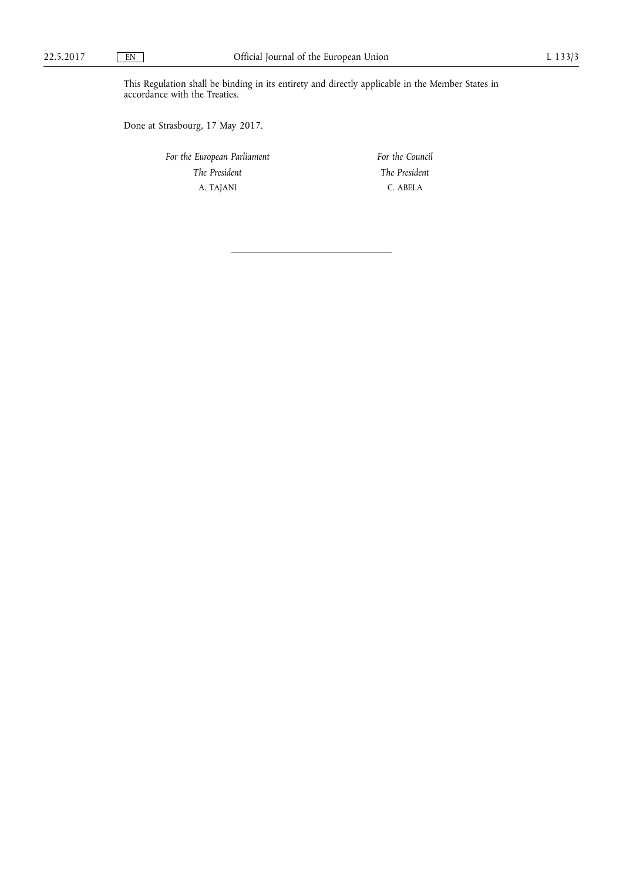This Regulation shall be binding in its entirety and directly applicable in the Member States in accordance with the Treaties.

Done at Strasbourg, 17 May 2017.

*For the European Parliament The President*  A. TAJANI

*For the Council The President*  C. ABELA